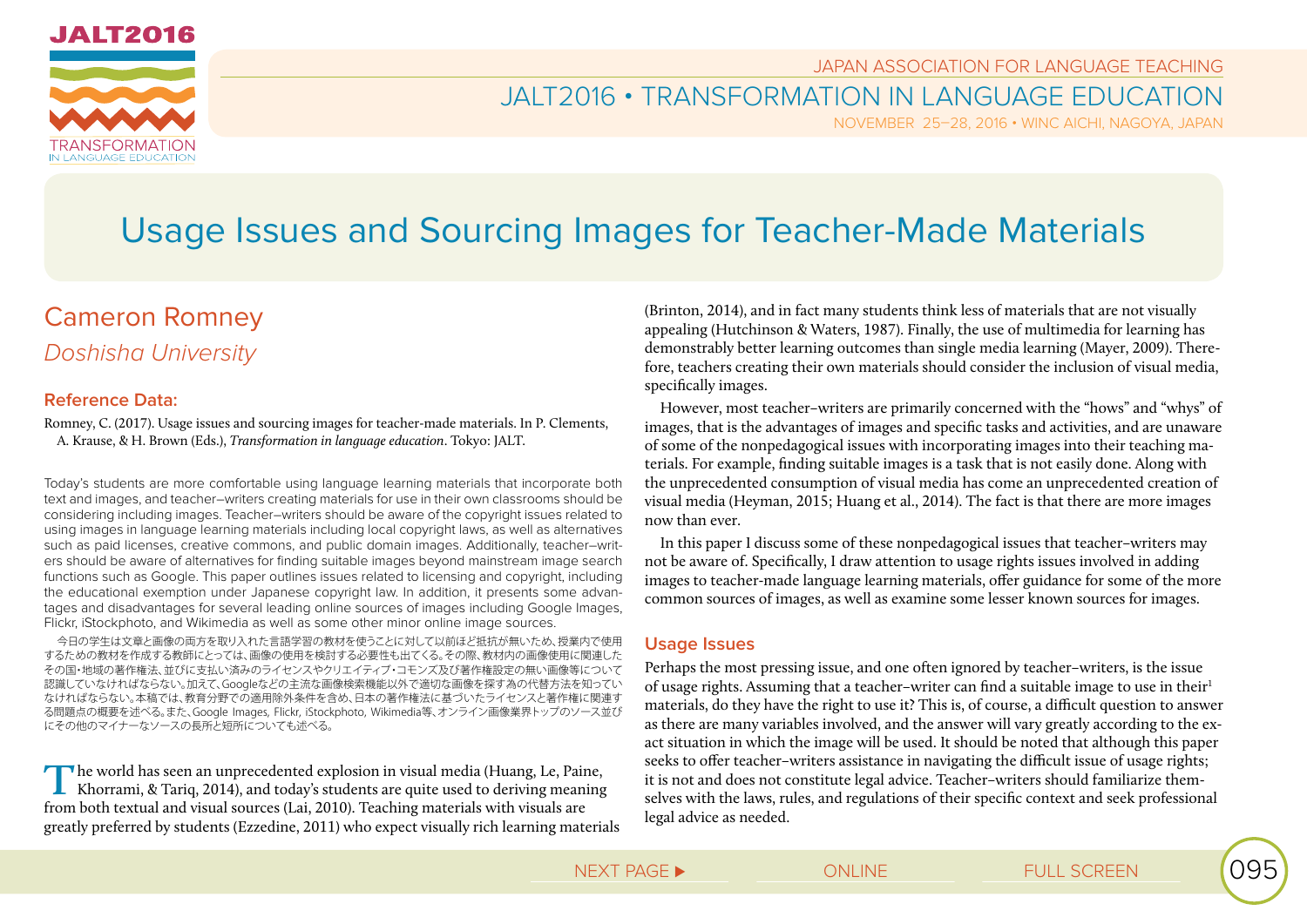

JAPAN ASSOCIATION FOR LANGUAGE TEACHING

# JALT2016 • TRANSFORMATION IN LANGUAGE EDUCATION

NOVEMBER 25–28, 2016 • WINC AICHI, NAGOYA, JAPAN

# Usage Issues and Sourcing Images for Teacher-Made Materials

# Cameron Romney *Doshisha University*

### **Reference Data:**

Romney, C. (2017). Usage issues and sourcing images for teacher-made materials. In P. Clements, A. Krause, & H. Brown (Eds.), *Transformation in language education*. Tokyo: JALT.

Today's students are more comfortable using language learning materials that incorporate both text and images, and teacher–writers creating materials for use in their own classrooms should be considering including images. Teacher–writers should be aware of the copyright issues related to using images in language learning materials including local copyright laws, as well as alternatives such as paid licenses, creative commons, and public domain images. Additionally, teacher–writers should be aware of alternatives for finding suitable images beyond mainstream image search functions such as Google. This paper outlines issues related to licensing and copyright, including the educational exemption under Japanese copyright law. In addition, it presents some advantages and disadvantages for several leading online sources of images including Google Images, Flickr, iStockphoto, and Wikimedia as well as some other minor online image sources.

今日の学生は文章と画像の両方を取り入れた言語学習の教材を使うことに対して以前ほど抵抗が無いため、授業内で使用 するための教材を作成する教師にとっては、画像の使用を検討する必要性も出てくる。その際、教材内の画像使用に関連した その国・地域の著作権法、並びに支払い済みのライセンスやクリエイティブ・コモンズ及び著作権設定の無い画像等について 認識していなければならない。加えて、Googleなどの主流な画像検索機能以外で適切な画像を探す為の代替方法を知ってい なければならない。本稿では、教育分野での適用除外条件を含め、日本の著作権法に基づいたライセンスと著作権に関連す る問題点の概要を述べる。また、Google Images, Flickr, iStockphoto, Wikimedia等、オンライン画像業界トップのソース並び にその他のマイナーなソースの長所と短所についても述べる。

**T**he world has seen an unprecedented explosion in visual media (Huang, Le, Paine, Khorrami, & Tariq, 2014), and today's students are quite used to deriving meaning from both textual and visual sources (Lai, 2010). Teaching materials with visuals are greatly preferred by students (Ezzedine, 2011) who expect visually rich learning materials (Brinton, 2014), and in fact many students think less of materials that are not visually appealing (Hutchinson & Waters, 1987). Finally, the use of multimedia for learning has demonstrably better learning outcomes than single media learning (Mayer, 2009). Therefore, teachers creating their own materials should consider the inclusion of visual media, specifically images.

However, most teacher–writers are primarily concerned with the "hows" and "whys" of images, that is the advantages of images and specific tasks and activities, and are unaware of some of the nonpedagogical issues with incorporating images into their teaching materials. For example, finding suitable images is a task that is not easily done. Along with the unprecedented consumption of visual media has come an unprecedented creation of visual media (Heyman, 2015; Huang et al., 2014). The fact is that there are more images now than ever.

In this paper I discuss some of these nonpedagogical issues that teacher–writers may not be aware of. Specifically, I draw attention to usage rights issues involved in adding images to teacher-made language learning materials, offer guidance for some of the more common sources of images, as well as examine some lesser known sources for images.

#### **Usage Issues**

Perhaps the most pressing issue, and one often ignored by teacher–writers, is the issue of usage rights. Assuming that a teacher-writer can find a suitable image to use in their<sup>1</sup> materials, do they have the right to use it? This is, of course, a difficult question to answer as there are many variables involved, and the answer will vary greatly according to the exact situation in which the image will be used. It should be noted that although this paper seeks to offer teacher–writers assistance in navigating the difficult issue of usage rights; it is not and does not constitute legal advice. Teacher–writers should familiarize themselves with the laws, rules, and regulations of their specific context and seek professional legal advice as needed.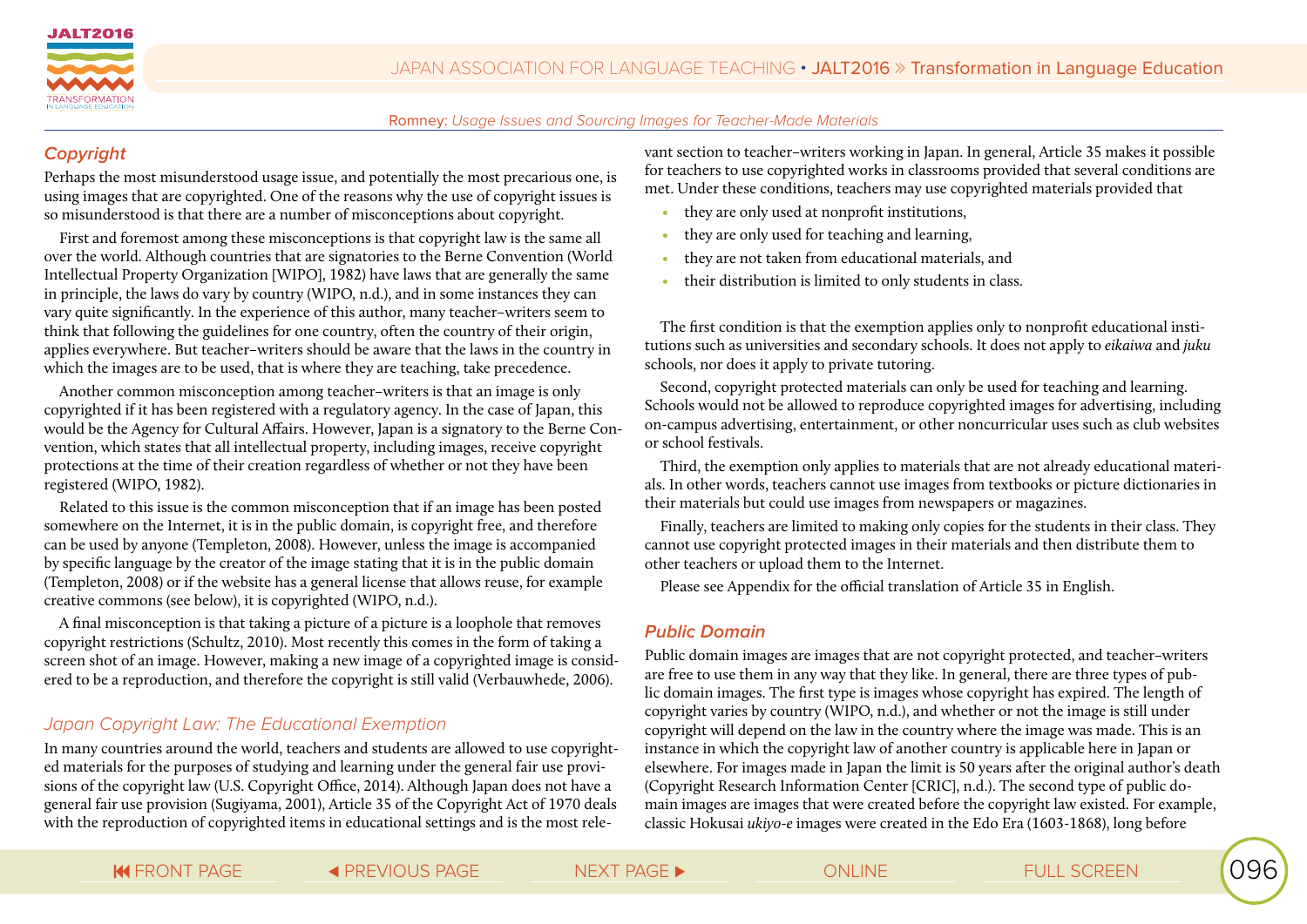

## **Copyright**

Perhaps the most misunderstood usage issue, and potentially the most precarious one, is using images that are copyrighted. One of the reasons why the use of copyright issues is so misunderstood is that there are a number of misconceptions about copyright.

First and foremost among these misconceptions is that copyright law is the same all over the world. Although countries that are signatories to the Berne Convention (World Intellectual Property Organization [WIPO], 1982) have laws that are generally the same in principle, the laws do vary by country (WIPO, n.d.), and in some instances they can vary quite significantly. In the experience of this author, many teacher–writers seem to think that following the guidelines for one country, often the country of their origin, applies everywhere. But teacher–writers should be aware that the laws in the country in which the images are to be used, that is where they are teaching, take precedence.

Another common misconception among teacher–writers is that an image is only copyrighted if it has been registered with a regulatory agency. In the case of Japan, this would be the Agency for Cultural Affairs. However, Japan is a signatory to the Berne Convention, which states that all intellectual property, including images, receive copyright protections at the time of their creation regardless of whether or not they have been registered (WIPO, 1982).

Related to this issue is the common misconception that if an image has been posted somewhere on the Internet, it is in the public domain, is copyright free, and therefore can be used by anyone (Templeton, 2008). However, unless the image is accompanied by specific language by the creator of the image stating that it is in the public domain (Templeton, 2008) or if the website has a general license that allows reuse, for example creative commons (see below), it is copyrighted (WIPO, n.d.).

A final misconception is that taking a picture of a picture is a loophole that removes copyright restrictions (Schultz, 2010). Most recently this comes in the form of taking a screen shot of an image. However, making a new image of a copyrighted image is considered to be a reproduction, and therefore the copyright is still valid (Verbauwhede, 2006).

# *Japan Copyright Law: The Educational Exemption*

In many countries around the world, teachers and students are allowed to use copyrighted materials for the purposes of studying and learning under the general fair use provisions of the copyright law (U.S. Copyright Office, 2014). Although Japan does not have a general fair use provision (Sugiyama, 2001), Article 35 of the Copyright Act of 1970 deals with the reproduction of copyrighted items in educational settings and is the most relevant section to teacher–writers working in Japan. In general, Article 35 makes it possible for teachers to use copyrighted works in classrooms provided that several conditions are met. Under these conditions, teachers may use copyrighted materials provided that

- they are only used at nonprofit institutions,
- they are only used for teaching and learning,
- they are not taken from educational materials, and
- their distribution is limited to only students in class.

The first condition is that the exemption applies only to nonprofit educational institutions such as universities and secondary schools. It does not apply to *eikaiwa* and *juku* schools, nor does it apply to private tutoring.

Second, copyright protected materials can only be used for teaching and learning. Schools would not be allowed to reproduce copyrighted images for advertising, including on-campus advertising, entertainment, or other noncurricular uses such as club websites or school festivals.

Third, the exemption only applies to materials that are not already educational materials. In other words, teachers cannot use images from textbooks or picture dictionaries in their materials but could use images from newspapers or magazines.

Finally, teachers are limited to making only copies for the students in their class. They cannot use copyright protected images in their materials and then distribute them to other teachers or upload them to the Internet.

Please see Appendix for the official translation of Article 35 in English.

#### **Public Domain**

Public domain images are images that are not copyright protected, and teacher–writers are free to use them in any way that they like. In general, there are three types of public domain images. The first type is images whose copyright has expired. The length of copyright varies by country (WIPO, n.d.), and whether or not the image is still under copyright will depend on the law in the country where the image was made. This is an instance in which the copyright law of another country is applicable here in Japan or elsewhere. For images made in Japan the limit is 50 years after the original author's death (Copyright Research Information Center [CRIC], n.d.). The second type of public domain images are images that were created before the copyright law existed. For example, classic Hokusai *ukiyo-e* images were created in the Edo Era (1603-1868), long before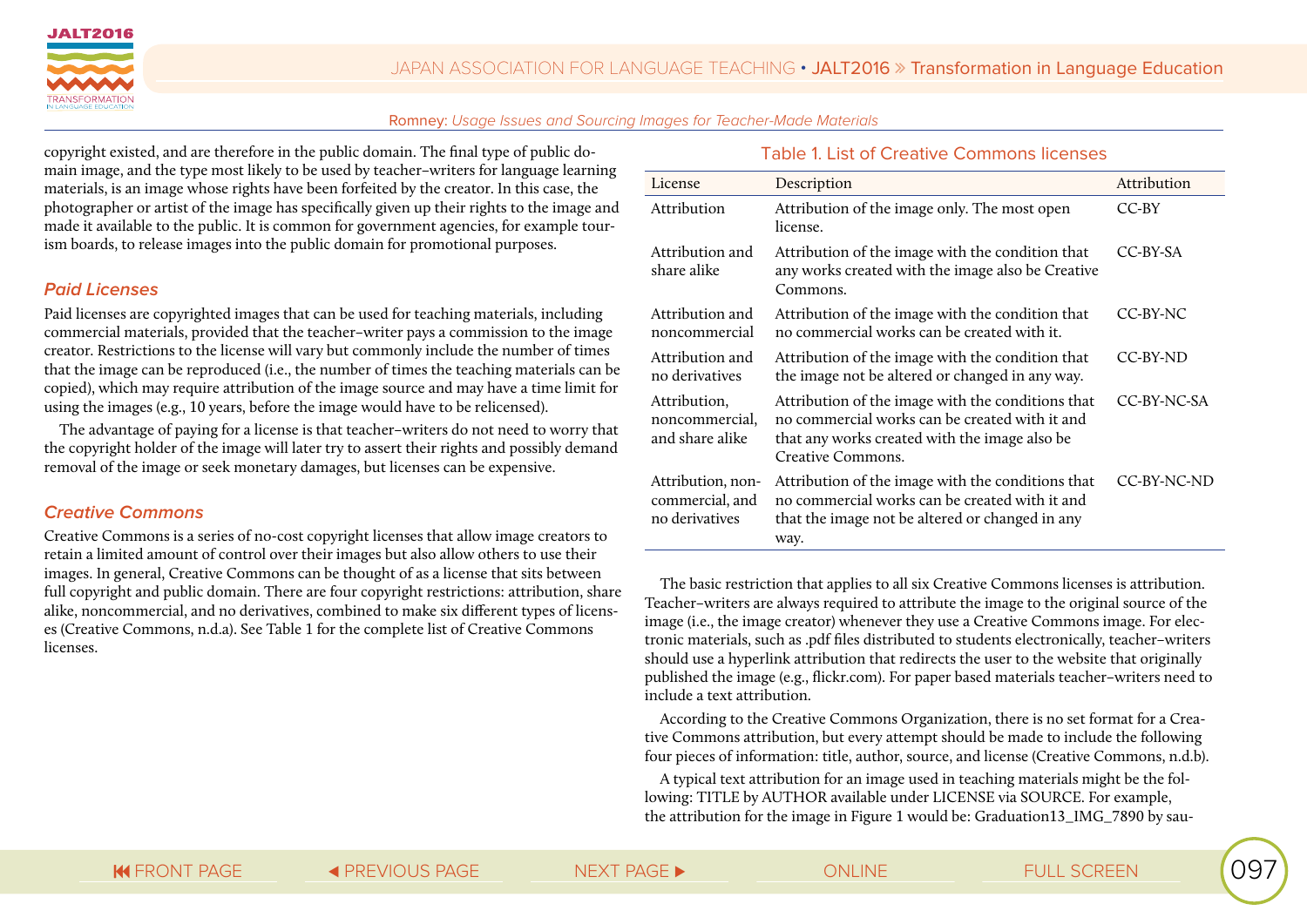

copyright existed, and are therefore in the public domain. The final type of public domain image, and the type most likely to be used by teacher–writers for language learning materials, is an image whose rights have been forfeited by the creator. In this case, the photographer or artist of the image has specifically given up their rights to the image and made it available to the public. It is common for government agencies, for example tourism boards, to release images into the public domain for promotional purposes.

#### **Paid Licenses**

Paid licenses are copyrighted images that can be used for teaching materials, including commercial materials, provided that the teacher–writer pays a commission to the image creator. Restrictions to the license will vary but commonly include the number of times that the image can be reproduced (i.e., the number of times the teaching materials can be copied), which may require attribution of the image source and may have a time limit for using the images (e.g., 10 years, before the image would have to be relicensed).

The advantage of paying for a license is that teacher–writers do not need to worry that the copyright holder of the image will later try to assert their rights and possibly demand removal of the image or seek monetary damages, but licenses can be expensive.

#### **Creative Commons**

Creative Commons is a series of no-cost copyright licenses that allow image creators to retain a limited amount of control over their images but also allow others to use their images. In general, Creative Commons can be thought of as a license that sits between full copyright and public domain. There are four copyright restrictions: attribution, share alike, noncommercial, and no derivatives, combined to make six different types of licenses (Creative Commons, n.d.a). See Table 1 for the complete list of Creative Commons licenses.

#### Table 1. List of Creative Commons licenses

| License                                                | Description                                                                                                                                                               | Attribution |
|--------------------------------------------------------|---------------------------------------------------------------------------------------------------------------------------------------------------------------------------|-------------|
| Attribution                                            | Attribution of the image only. The most open<br>license.                                                                                                                  | $CC-BY$     |
| Attribution and<br>share alike                         | Attribution of the image with the condition that<br>any works created with the image also be Creative<br>Commons.                                                         | CC-BY-SA    |
| Attribution and<br>noncommercial                       | Attribution of the image with the condition that<br>no commercial works can be created with it.                                                                           | CC-BY-NC    |
| Attribution and<br>no derivatives                      | Attribution of the image with the condition that<br>the image not be altered or changed in any way.                                                                       | CC-BY-ND    |
| Attribution,<br>noncommercial,<br>and share alike      | Attribution of the image with the conditions that<br>no commercial works can be created with it and<br>that any works created with the image also be<br>Creative Commons. | CC-BY-NC-SA |
| Attribution, non-<br>commercial, and<br>no derivatives | Attribution of the image with the conditions that<br>no commercial works can be created with it and<br>that the image not be altered or changed in any<br>way.            | CC-BY-NC-ND |

The basic restriction that applies to all six Creative Commons licenses is attribution. Teacher–writers are always required to attribute the image to the original source of the image (i.e., the image creator) whenever they use a Creative Commons image. For electronic materials, such as .pdf files distributed to students electronically, teacher–writers should use a hyperlink attribution that redirects the user to the website that originally published the image (e.g., flickr.com). For paper based materials teacher–writers need to include a text attribution.

According to the Creative Commons Organization, there is no set format for a Creative Commons attribution, but every attempt should be made to include the following four pieces of information: title, author, source, and license (Creative Commons, n.d.b).

A typical text attribution for an image used in teaching materials might be the following: TITLE by AUTHOR available under LICENSE via SOURCE. For example, the attribution for the image in Figure 1 would be: Graduation13\_IMG\_7890 by sau-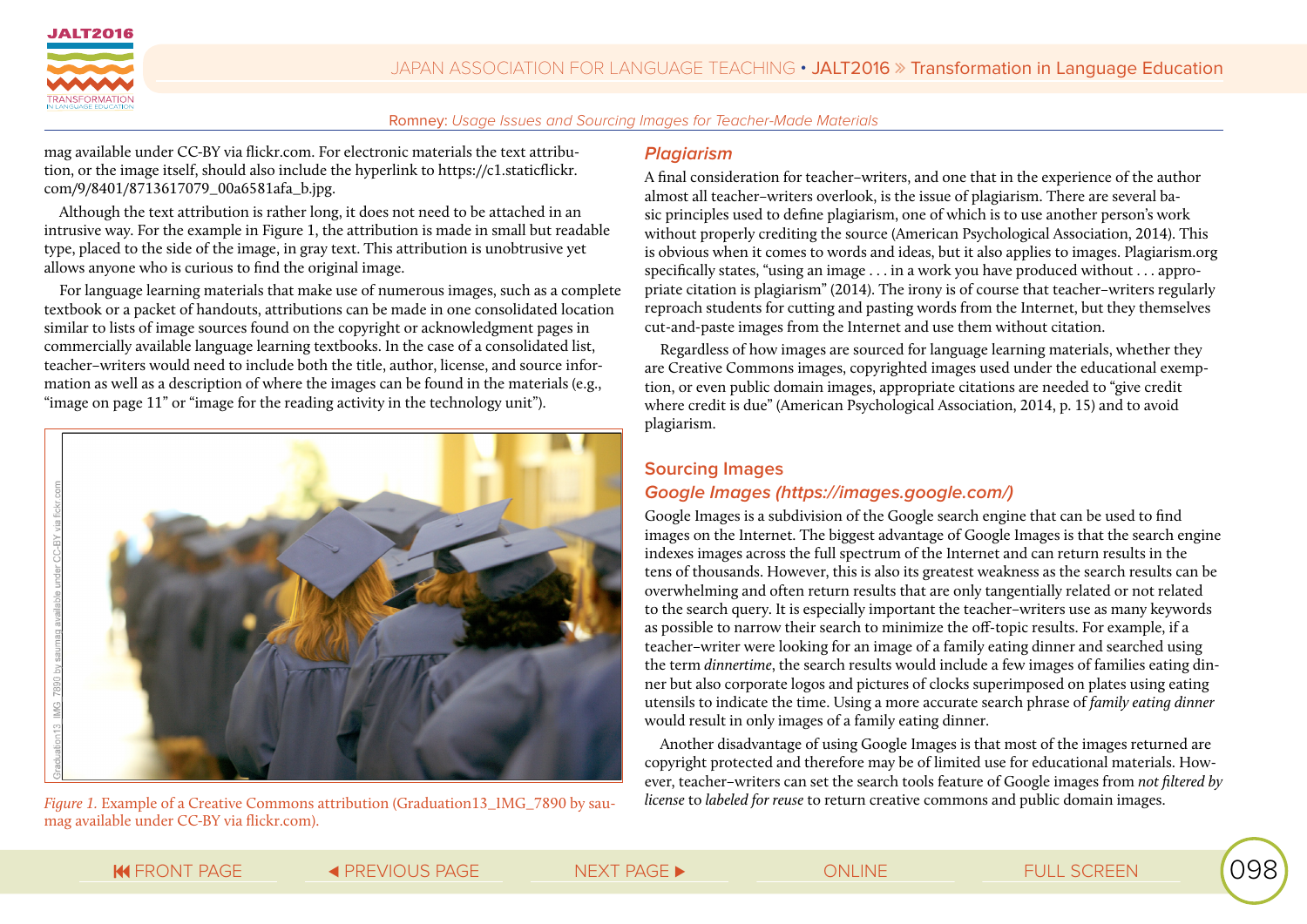

mag available under CC-BY via flickr.com. For electronic materials the text attribution, or the image itself, should also include the hyperlink to https://c1.staticflickr. com/9/8401/8713617079\_00a6581afa\_b.jpg.

Although the text attribution is rather long, it does not need to be attached in an intrusive way. For the example in Figure 1, the attribution is made in small but readable type, placed to the side of the image, in gray text. This attribution is unobtrusive yet allows anyone who is curious to find the original image.

For language learning materials that make use of numerous images, such as a complete textbook or a packet of handouts, attributions can be made in one consolidated location similar to lists of image sources found on the copyright or acknowledgment pages in commercially available language learning textbooks. In the case of a consolidated list, teacher–writers would need to include both the title, author, license, and source information as well as a description of where the images can be found in the materials (e.g., "image on page 11" or "image for the reading activity in the technology unit").



*Figure 1.* Example of a Creative Commons attribution (Graduation13\_IMG\_7890 by saumag available under CC-BY via flickr.com).

#### **Plagiarism**

A final consideration for teacher–writers, and one that in the experience of the author almost all teacher–writers overlook, is the issue of plagiarism. There are several basic principles used to define plagiarism, one of which is to use another person's work without properly crediting the source (American Psychological Association, 2014). This is obvious when it comes to words and ideas, but it also applies to images. Plagiarism.org specifically states, "using an image . . . in a work you have produced without . . . appropriate citation is plagiarism" (2014). The irony is of course that teacher–writers regularly reproach students for cutting and pasting words from the Internet, but they themselves cut-and-paste images from the Internet and use them without citation.

Regardless of how images are sourced for language learning materials, whether they are Creative Commons images, copyrighted images used under the educational exemption, or even public domain images, appropriate citations are needed to "give credit where credit is due" (American Psychological Association, 2014, p. 15) and to avoid plagiarism.

#### **Sourcing Images Google Images (https://images.google.com/)**

Google Images is a subdivision of the Google search engine that can be used to find images on the Internet. The biggest advantage of Google Images is that the search engine indexes images across the full spectrum of the Internet and can return results in the tens of thousands. However, this is also its greatest weakness as the search results can be overwhelming and often return results that are only tangentially related or not related to the search query. It is especially important the teacher–writers use as many keywords as possible to narrow their search to minimize the off-topic results. For example, if a teacher–writer were looking for an image of a family eating dinner and searched using the term *dinnertime*, the search results would include a few images of families eating dinner but also corporate logos and pictures of clocks superimposed on plates using eating utensils to indicate the time. Using a more accurate search phrase of *family eating dinner* would result in only images of a family eating dinner.

Another disadvantage of using Google Images is that most of the images returned are copyright protected and therefore may be of limited use for educational materials. However, teacher–writers can set the search tools feature of Google images from *not filtered by license* to *labeled for reuse* to return creative commons and public domain images.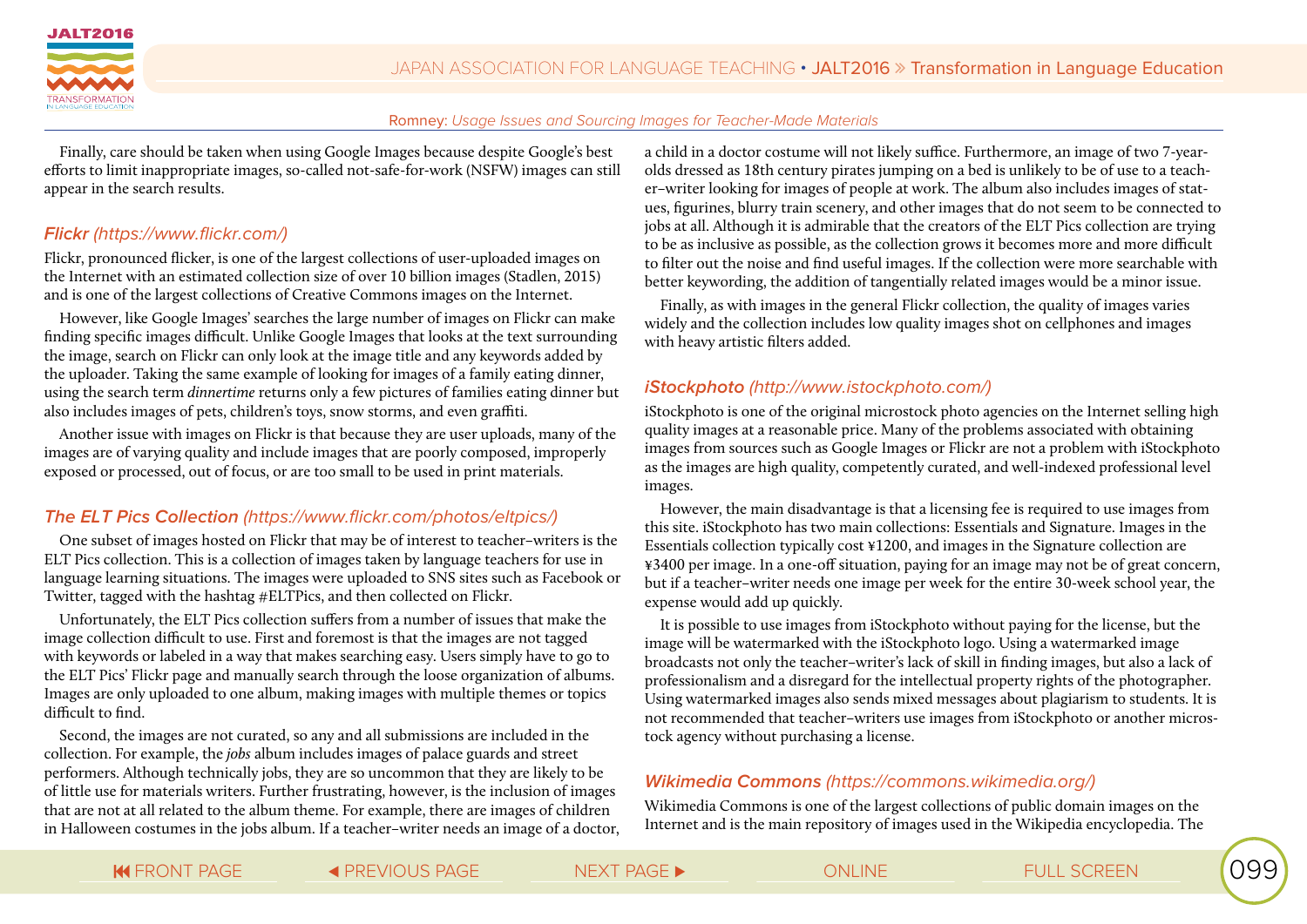

Finally, care should be taken when using Google Images because despite Google's best efforts to limit inappropriate images, so-called not-safe-for-work (NSFW) images can still appear in the search results.

#### **Flickr** (https://www.flickr.com/)

Flickr, pronounced flicker, is one of the largest collections of user-uploaded images on the Internet with an estimated collection size of over 10 billion images (Stadlen, 2015) and is one of the largest collections of Creative Commons images on the Internet.

However, like Google Images' searches the large number of images on Flickr can make finding specific images difficult. Unlike Google Images that looks at the text surrounding the image, search on Flickr can only look at the image title and any keywords added by the uploader. Taking the same example of looking for images of a family eating dinner, using the search term *dinnertime* returns only a few pictures of families eating dinner but also includes images of pets, children's toys, snow storms, and even graffiti.

Another issue with images on Flickr is that because they are user uploads, many of the images are of varying quality and include images that are poorly composed, improperly exposed or processed, out of focus, or are too small to be used in print materials.

# **The ELT Pics Collection** (https://www.flickr.com/photos/eltpics/)

One subset of images hosted on Flickr that may be of interest to teacher–writers is the ELT Pics collection. This is a collection of images taken by language teachers for use in language learning situations. The images were uploaded to SNS sites such as Facebook or Twitter, tagged with the hashtag #ELTPics, and then collected on Flickr.

Unfortunately, the ELT Pics collection suffers from a number of issues that make the image collection difficult to use. First and foremost is that the images are not tagged with keywords or labeled in a way that makes searching easy. Users simply have to go to the ELT Pics' Flickr page and manually search through the loose organization of albums. Images are only uploaded to one album, making images with multiple themes or topics difficult to find.

Second, the images are not curated, so any and all submissions are included in the collection. For example, the *jobs* album includes images of palace guards and street performers. Although technically jobs, they are so uncommon that they are likely to be of little use for materials writers. Further frustrating, however, is the inclusion of images that are not at all related to the album theme. For example, there are images of children in Halloween costumes in the jobs album. If a teacher–writer needs an image of a doctor, a child in a doctor costume will not likely suffice. Furthermore, an image of two 7-yearolds dressed as 18th century pirates jumping on a bed is unlikely to be of use to a teacher–writer looking for images of people at work. The album also includes images of statues, figurines, blurry train scenery, and other images that do not seem to be connected to jobs at all. Although it is admirable that the creators of the ELT Pics collection are trying to be as inclusive as possible, as the collection grows it becomes more and more difficult to filter out the noise and find useful images. If the collection were more searchable with better keywording, the addition of tangentially related images would be a minor issue.

Finally, as with images in the general Flickr collection, the quality of images varies widely and the collection includes low quality images shot on cellphones and images with heavy artistic filters added.

#### **iStockphoto** (http://www.istockphoto.com/)

iStockphoto is one of the original microstock photo agencies on the Internet selling high quality images at a reasonable price. Many of the problems associated with obtaining images from sources such as Google Images or Flickr are not a problem with iStockphoto as the images are high quality, competently curated, and well-indexed professional level images.

However, the main disadvantage is that a licensing fee is required to use images from this site. iStockphoto has two main collections: Essentials and Signature. Images in the Essentials collection typically cost ¥1200, and images in the Signature collection are ¥3400 per image. In a one-off situation, paying for an image may not be of great concern, but if a teacher–writer needs one image per week for the entire 30-week school year, the expense would add up quickly.

It is possible to use images from iStockphoto without paying for the license, but the image will be watermarked with the iStockphoto logo. Using a watermarked image broadcasts not only the teacher–writer's lack of skill in finding images, but also a lack of professionalism and a disregard for the intellectual property rights of the photographer. Using watermarked images also sends mixed messages about plagiarism to students. It is not recommended that teacher–writers use images from iStockphoto or another microstock agency without purchasing a license.

# **Wikimedia Commons** (https://commons.wikimedia.org/)

Wikimedia Commons is one of the largest collections of public domain images on the Internet and is the main repository of images used in the Wikipedia encyclopedia. The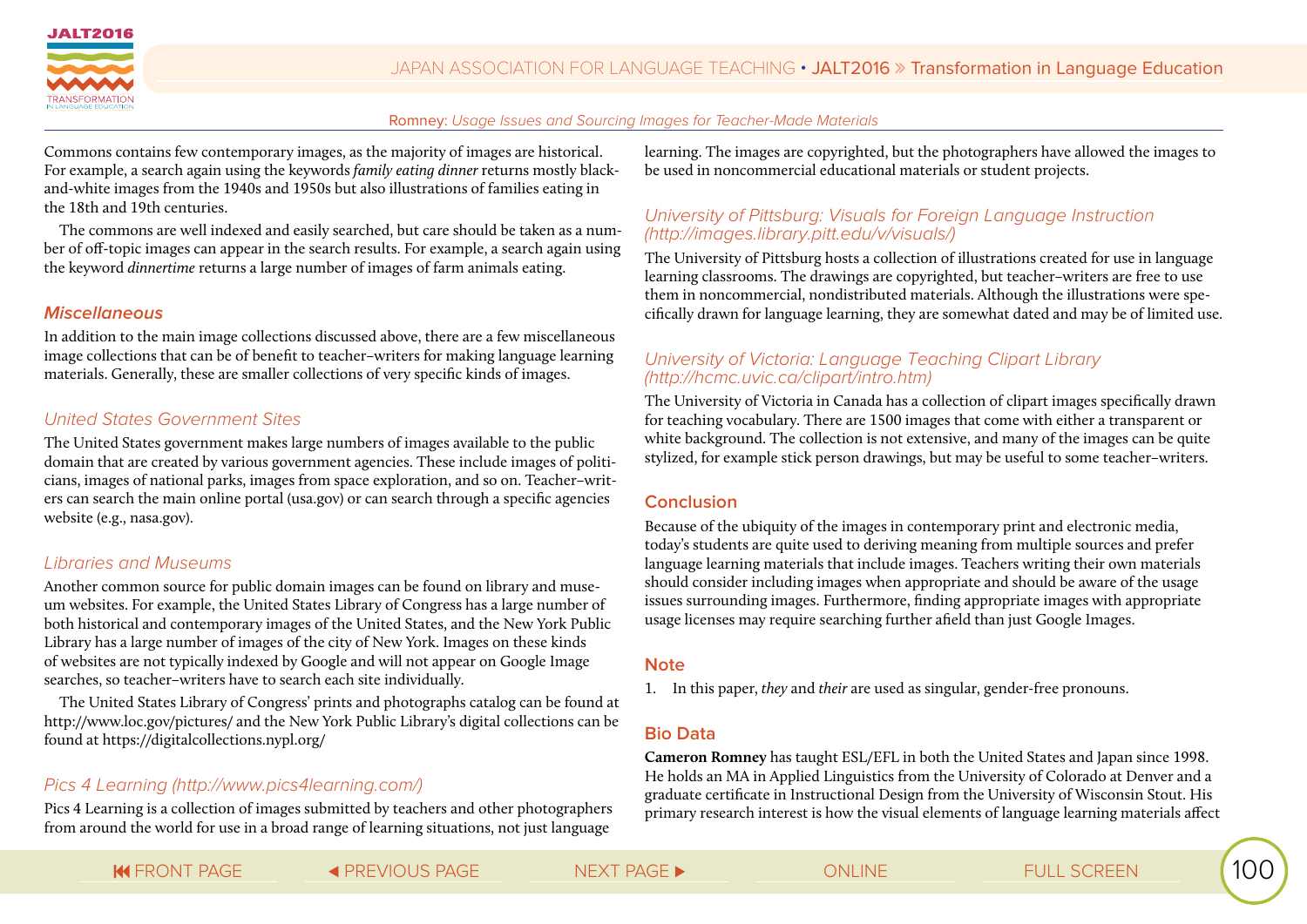

Commons contains few contemporary images, as the majority of images are historical. For example, a search again using the keywords *family eating dinner* returns mostly blackand-white images from the 1940s and 1950s but also illustrations of families eating in the 18th and 19th centuries.

The commons are well indexed and easily searched, but care should be taken as a number of off-topic images can appear in the search results. For example, a search again using the keyword *dinnertime* returns a large number of images of farm animals eating.

### **Miscellaneous**

In addition to the main image collections discussed above, there are a few miscellaneous image collections that can be of benefit to teacher–writers for making language learning materials. Generally, these are smaller collections of very specific kinds of images.

# *United States Government Sites*

The United States government makes large numbers of images available to the public domain that are created by various government agencies. These include images of politicians, images of national parks, images from space exploration, and so on. Teacher–writers can search the main online portal (usa.gov) or can search through a specific agencies website (e.g., nasa.gov).

# *Libraries and Museums*

Another common source for public domain images can be found on library and museum websites. For example, the United States Library of Congress has a large number of both historical and contemporary images of the United States, and the New York Public Library has a large number of images of the city of New York. Images on these kinds of websites are not typically indexed by Google and will not appear on Google Image searches, so teacher–writers have to search each site individually.

The United States Library of Congress' prints and photographs catalog can be found at http://www.loc.gov/pictures/ and the New York Public Library's digital collections can be found at https://digitalcollections.nypl.org/

# *Pics 4 Learning (http://www.pics4learning.com/)*

Pics 4 Learning is a collection of images submitted by teachers and other photographers from around the world for use in a broad range of learning situations, not just language

learning. The images are copyrighted, but the photographers have allowed the images to be used in noncommercial educational materials or student projects.

## *University of Pittsburg: Visuals for Foreign Language Instruction (http://images.library.pitt.edu/v/visuals/)*

The University of Pittsburg hosts a collection of illustrations created for use in language learning classrooms. The drawings are copyrighted, but teacher–writers are free to use them in noncommercial, nondistributed materials. Although the illustrations were specifically drawn for language learning, they are somewhat dated and may be of limited use.

#### *University of Victoria: Language Teaching Clipart Library (http://hcmc.uvic.ca/clipart/intro.htm)*

The University of Victoria in Canada has a collection of clipart images specifically drawn for teaching vocabulary. There are 1500 images that come with either a transparent or white background. The collection is not extensive, and many of the images can be quite stylized, for example stick person drawings, but may be useful to some teacher–writers.

#### **Conclusion**

Because of the ubiquity of the images in contemporary print and electronic media, today's students are quite used to deriving meaning from multiple sources and prefer language learning materials that include images. Teachers writing their own materials should consider including images when appropriate and should be aware of the usage issues surrounding images. Furthermore, finding appropriate images with appropriate usage licenses may require searching further afield than just Google Images.

#### **Note**

1. In this paper, *they* and *their* are used as singular, gender-free pronouns.

# **Bio Data**

**Cameron Romney** has taught ESL/EFL in both the United States and Japan since 1998. He holds an MA in Applied Linguistics from the University of Colorado at Denver and a graduate certificate in Instructional Design from the University of Wisconsin Stout. His primary research interest is how the visual elements of language learning materials affect